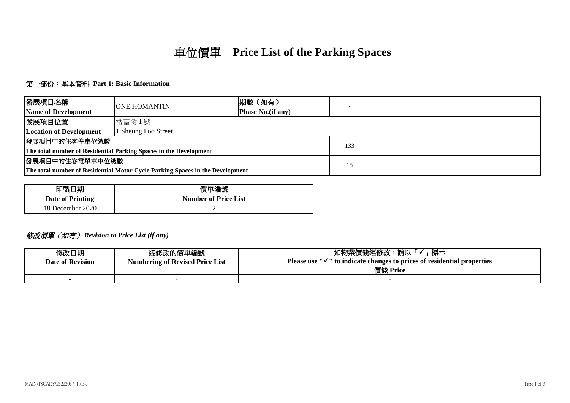# 車位價單 **Price List of the Parking Spaces**

## 第一部份:基本資料 **Part 1: Basic Information**

| 發展項目名稱                                                                        | <b>ONE HOMANTIN</b> | 期數 (如有)           |     |
|-------------------------------------------------------------------------------|---------------------|-------------------|-----|
| Name of Development                                                           |                     | Phase No.(if any) |     |
| 發展項目位置                                                                        | 常富街1號               |                   |     |
| <b>Location of Development</b>                                                | 1 Sheung Foo Street |                   |     |
| 發展項目中的住客停車位總數                                                                 |                     |                   | 133 |
| The total number of Residential Parking Spaces in the Development             |                     |                   |     |
| 發展項目中的住客電單車車位總數                                                               |                     | 15                |     |
| The total number of Residential Motor Cycle Parking Spaces in the Development |                     |                   |     |

| 印製日期                    | 價單編號                        |
|-------------------------|-----------------------------|
| <b>Date of Printing</b> | <b>Number of Price List</b> |
| 18 December 2020        |                             |

## 修改價單(如有) *Revision to Price List (if any)*

| 修改日期<br><b>Date of Revision</b> | 經修改的價單編號<br><b>Numbering of Revised Price List</b> | 標示<br>如物業價錢經修改<br>請以<br>-4<br><b>Please use</b><br>$\mathbb{P}^1$ to indicate changes to prices of residential properties |  |
|---------------------------------|----------------------------------------------------|---------------------------------------------------------------------------------------------------------------------------|--|
|                                 |                                                    | 價錢 Price                                                                                                                  |  |
| -                               |                                                    |                                                                                                                           |  |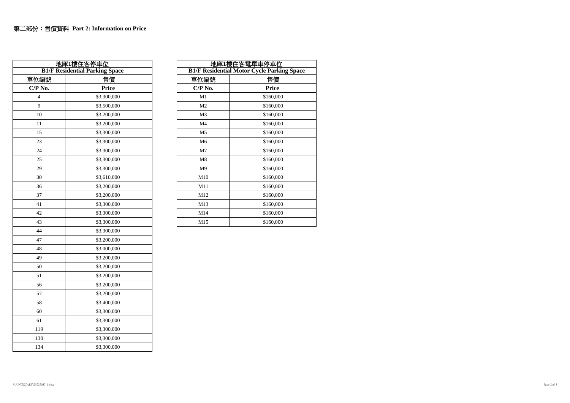| 地庫1樓住客停車位<br><b>B1/F Residential Parking Space</b> |             |                                            | 地庫1樓住客電單車停車位 |  |
|----------------------------------------------------|-------------|--------------------------------------------|--------------|--|
|                                                    |             | <b>B1/F Residential Motor Cycle Parkin</b> |              |  |
| 車位編號                                               | 售價          | 車位編號                                       | 售價           |  |
| $C/P$ No.                                          | Price       | $C/P$ No.                                  | Price        |  |
| $\overline{4}$                                     | \$3,300,000 | M1                                         | \$160,000    |  |
| 9                                                  | \$3,500,000 | M <sub>2</sub>                             | \$160,000    |  |
| 10                                                 | \$3,200,000 | M <sub>3</sub>                             | \$160,000    |  |
| 11                                                 | \$3,200,000 | M <sub>4</sub>                             | \$160,000    |  |
| 15                                                 | \$3,300,000 | M <sub>5</sub>                             | \$160,000    |  |
| 23                                                 | \$3,300,000 | M <sub>6</sub>                             | \$160,000    |  |
| 24                                                 | \$3,300,000 | M <sub>7</sub>                             | \$160,000    |  |
| 25                                                 | \$3,300,000 | M8                                         | \$160,000    |  |
| 29                                                 | \$3,300,000 | M <sub>9</sub>                             | \$160,000    |  |
| 30                                                 | \$3,610,000 | M10                                        | \$160,000    |  |
| 36                                                 | \$3,200,000 | M11                                        | \$160,000    |  |
| 37                                                 | \$3,200,000 | M12                                        | \$160,000    |  |
| 41                                                 | \$3,300,000 | M13                                        | \$160,000    |  |
| 42                                                 | \$3,300,000 | M14                                        | \$160,000    |  |
| 43                                                 | \$3,300,000 | M15                                        | \$160,000    |  |
| 44                                                 | \$3,300,000 |                                            |              |  |
| 47                                                 | \$3,200,000 |                                            |              |  |
| 48                                                 | \$3,000,000 |                                            |              |  |
| 49                                                 | \$3,200,000 |                                            |              |  |
| 50                                                 | \$3,200,000 |                                            |              |  |
| 51                                                 | \$3,200,000 |                                            |              |  |
| 56                                                 | \$3,200,000 |                                            |              |  |
| 57                                                 | \$3,200,000 |                                            |              |  |
| 58                                                 | \$3,400,000 |                                            |              |  |
| 60                                                 | \$3,300,000 |                                            |              |  |
| 61                                                 | \$3,300,000 |                                            |              |  |
| 119                                                | \$3,300,000 |                                            |              |  |
| 130                                                | \$3,300,000 |                                            |              |  |
| 134                                                | \$3,300,000 |                                            |              |  |

| 地庫1樓住客雷單車停車位                                      |           |  |  |  |
|---------------------------------------------------|-----------|--|--|--|
| <b>B1/F Residential Motor Cycle Parking Space</b> |           |  |  |  |
| 車位編號                                              | 售價        |  |  |  |
| $\mathbf{C/P}$ No.                                | Price     |  |  |  |
| M1                                                | \$160,000 |  |  |  |
| M <sub>2</sub>                                    | \$160,000 |  |  |  |
| M3                                                | \$160,000 |  |  |  |
| M4                                                | \$160,000 |  |  |  |
| M <sub>5</sub>                                    | \$160,000 |  |  |  |
| M <sub>6</sub>                                    | \$160,000 |  |  |  |
| M <sub>7</sub>                                    | \$160,000 |  |  |  |
| M8                                                | \$160,000 |  |  |  |
| M <sub>9</sub>                                    | \$160,000 |  |  |  |
| M10                                               | \$160,000 |  |  |  |
| M11                                               | \$160,000 |  |  |  |
| M12                                               | \$160,000 |  |  |  |
| M13                                               | \$160,000 |  |  |  |
| M14                                               | \$160,000 |  |  |  |
| M15                                               | \$160,000 |  |  |  |
|                                                   |           |  |  |  |